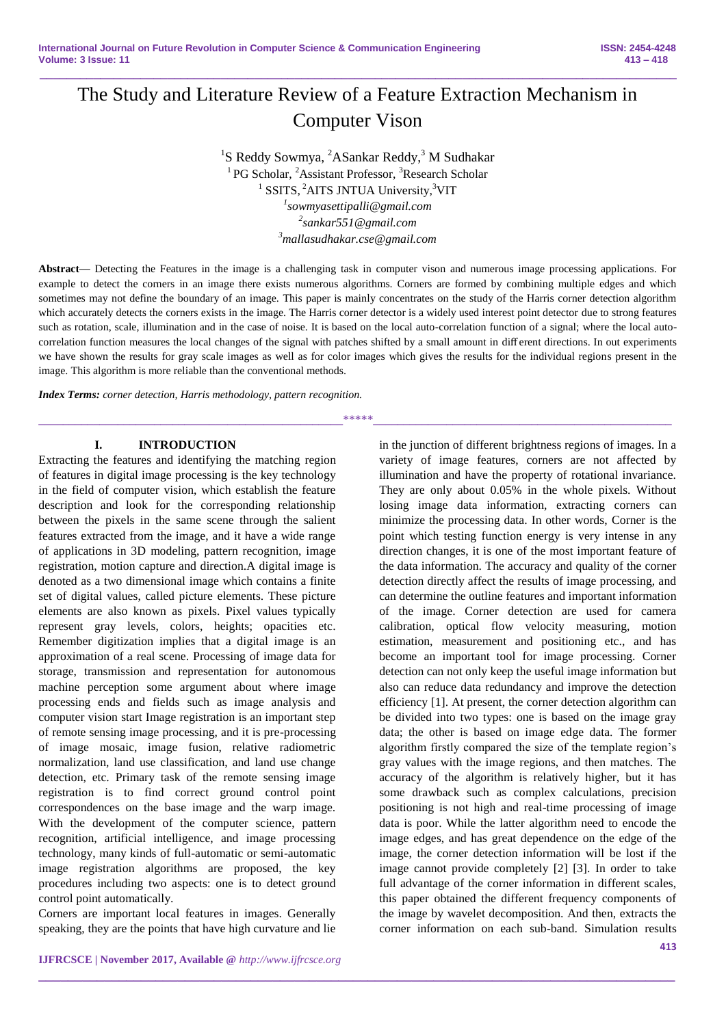# The Study and Literature Review of a Feature Extraction Mechanism in Computer Vison

**\_\_\_\_\_\_\_\_\_\_\_\_\_\_\_\_\_\_\_\_\_\_\_\_\_\_\_\_\_\_\_\_\_\_\_\_\_\_\_\_\_\_\_\_\_\_\_\_\_\_\_\_\_\_\_\_\_\_\_\_\_\_\_\_\_\_\_\_\_\_\_\_\_\_\_\_\_\_\_\_\_\_\_\_\_\_\_\_\_\_\_\_\_\_\_**

<sup>1</sup>S Reddy Sowmya, <sup>2</sup>ASankar Reddy,<sup>3</sup> M Sudhakar  $1^{1}$  PG Scholar,  $^{2}$ Assistant Professor,  $^{3}$ Research Scholar <sup>1</sup> SSITS, <sup>2</sup>AITS JNTUA University,<sup>3</sup>VIT *1 sowmyasettipalli@gmail.com 2 sankar551@gmail.com <sup>3</sup>mallasudhakar.cse@gmail.com*

**Abstract—** Detecting the Features in the image is a challenging task in computer vison and numerous image processing applications. For example to detect the corners in an image there exists numerous algorithms. Corners are formed by combining multiple edges and which sometimes may not define the boundary of an image. This paper is mainly concentrates on the study of the Harris corner detection algorithm which accurately detects the corners exists in the image. The Harris corner detector is a widely used interest point detector due to strong features such as rotation, scale, illumination and in the case of noise. It is based on the local auto-correlation function of a signal; where the local autocorrelation function measures the local changes of the signal with patches shifted by a small amount in diff erent directions. In out experiments we have shown the results for gray scale images as well as for color images which gives the results for the individual regions present in the image. This algorithm is more reliable than the conventional methods.

\_\_\_\_\_\_\_\_\_\_\_\_\_\_\_\_\_\_\_\_\_\_\_\_\_\_\_\_\_\_\_\_\_\_\_\_\_\_\_\_\_\_\_\_\_\_\_\_\_\_\*\*\*\*\*\_\_\_\_\_\_\_\_\_\_\_\_\_\_\_\_\_\_\_\_\_\_\_\_\_\_\_\_\_\_\_\_\_\_\_\_\_\_\_\_\_\_\_\_\_\_\_\_\_

**\_\_\_\_\_\_\_\_\_\_\_\_\_\_\_\_\_\_\_\_\_\_\_\_\_\_\_\_\_\_\_\_\_\_\_\_\_\_\_\_\_\_\_\_\_\_\_\_\_\_\_\_\_\_\_\_\_\_\_\_\_\_\_\_\_\_\_\_\_\_\_\_\_\_\_\_\_\_\_\_\_\_\_\_\_\_\_**

*Index Terms: corner detection, Harris methodology, pattern recognition.*

#### **I. INTRODUCTION**

Extracting the features and identifying the matching region of features in digital image processing is the key technology in the field of computer vision, which establish the feature description and look for the corresponding relationship between the pixels in the same scene through the salient features extracted from the image, and it have a wide range of applications in 3D modeling, pattern recognition, image registration, motion capture and direction.A digital image is denoted as a two dimensional image which contains a finite set of digital values, called picture elements. These picture elements are also known as pixels. Pixel values typically represent gray levels, colors, heights; opacities etc. Remember digitization implies that a digital image is an approximation of a real scene. Processing of image data for storage, transmission and representation for autonomous machine perception some argument about where image processing ends and fields such as image analysis and computer vision start Image registration is an important step of remote sensing image processing, and it is pre-processing of image mosaic, image fusion, relative radiometric normalization, land use classification, and land use change detection, etc. Primary task of the remote sensing image registration is to find correct ground control point correspondences on the base image and the warp image. With the development of the computer science, pattern recognition, artificial intelligence, and image processing technology, many kinds of full-automatic or semi-automatic image registration algorithms are proposed, the key procedures including two aspects: one is to detect ground control point automatically.

Corners are important local features in images. Generally speaking, they are the points that have high curvature and lie

in the junction of different brightness regions of images. In a variety of image features, corners are not affected by illumination and have the property of rotational invariance. They are only about 0.05% in the whole pixels. Without losing image data information, extracting corners can minimize the processing data. In other words, Corner is the point which testing function energy is very intense in any direction changes, it is one of the most important feature of the data information. The accuracy and quality of the corner detection directly affect the results of image processing, and can determine the outline features and important information of the image. Corner detection are used for camera calibration, optical flow velocity measuring, motion estimation, measurement and positioning etc., and has become an important tool for image processing. Corner detection can not only keep the useful image information but also can reduce data redundancy and improve the detection efficiency [1]. At present, the corner detection algorithm can be divided into two types: one is based on the image gray data; the other is based on image edge data. The former algorithm firstly compared the size of the template region"s gray values with the image regions, and then matches. The accuracy of the algorithm is relatively higher, but it has some drawback such as complex calculations, precision positioning is not high and real-time processing of image data is poor. While the latter algorithm need to encode the image edges, and has great dependence on the edge of the image, the corner detection information will be lost if the image cannot provide completely [2] [3]. In order to take full advantage of the corner information in different scales, this paper obtained the different frequency components of the image by wavelet decomposition. And then, extracts the corner information on each sub-band. Simulation results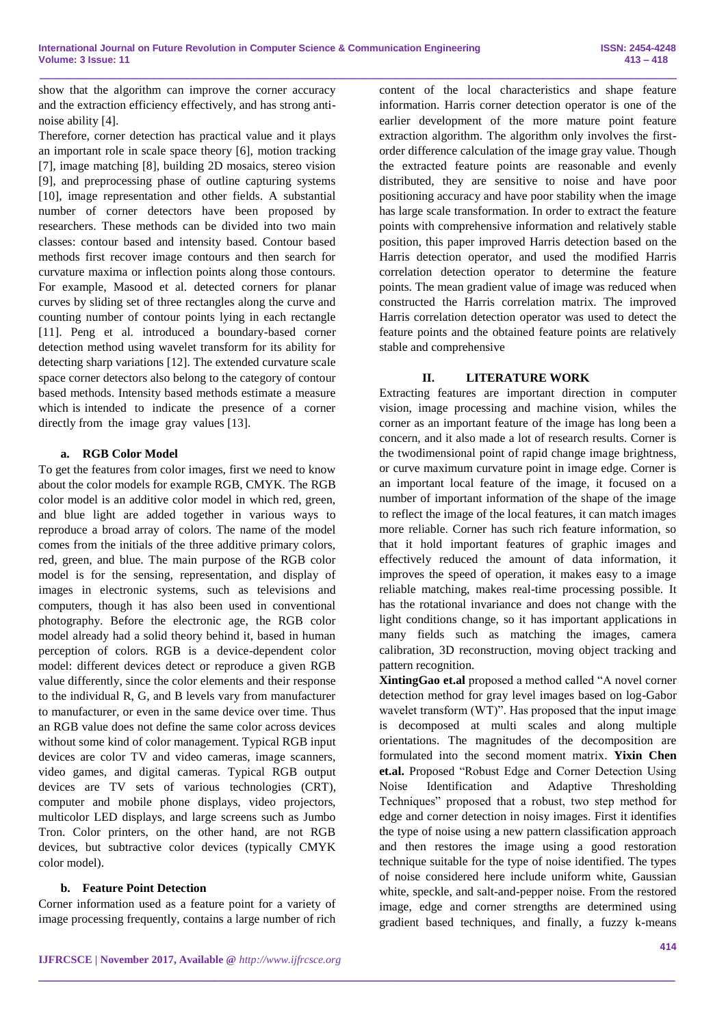show that the algorithm can improve the corner accuracy and the extraction efficiency effectively, and has strong antinoise ability [4].

Therefore, corner detection has practical value and it plays an important role in scale space theory [6], motion tracking [7], image matching [8], building 2D mosaics, stereo vision [9], and preprocessing phase of outline capturing systems [10], image representation and other fields. A substantial number of corner detectors have been proposed by researchers. These methods can be divided into two main classes: contour based and intensity based. Contour based methods first recover image contours and then search for curvature maxima or inflection points along those contours. For example, Masood et al. detected corners for planar curves by sliding set of three rectangles along the curve and counting number of contour points lying in each rectangle [11]. Peng et al. introduced a boundary-based corner detection method using wavelet transform for its ability for detecting sharp variations [12]. The extended curvature scale space corner detectors also belong to the category of contour based methods. Intensity based methods estimate a measure which is intended to indicate the presence of a corner directly from the image gray values [13].

## **a. RGB Color Model**

To get the features from color images, first we need to know about the color models for example RGB, CMYK. The RGB color model is an additive color model in which red, green, and blue light are added together in various ways to reproduce a broad array of colors. The name of the model comes from the initials of the three additive primary colors, red, green, and blue. The main purpose of the RGB color model is for the sensing, representation, and display of images in electronic systems, such as televisions and computers, though it has also been used in conventional photography. Before the electronic age, the RGB color model already had a solid theory behind it, based in human perception of colors. RGB is a device-dependent color model: different devices detect or reproduce a given RGB value differently, since the color elements and their response to the individual R, G, and B levels vary from manufacturer to manufacturer, or even in the same device over time. Thus an RGB value does not define the same color across devices without some kind of color management. Typical RGB input devices are color TV and video cameras, image scanners, video games, and digital cameras. Typical RGB output devices are TV sets of various technologies (CRT), computer and mobile phone displays, video projectors, multicolor LED displays, and large screens such as Jumbo Tron. Color printers, on the other hand, are not RGB devices, but subtractive color devices (typically CMYK color model).

## **b. Feature Point Detection**

Corner information used as a feature point for a variety of image processing frequently, contains a large number of rich

content of the local characteristics and shape feature information. Harris corner detection operator is one of the earlier development of the more mature point feature extraction algorithm. The algorithm only involves the firstorder difference calculation of the image gray value. Though the extracted feature points are reasonable and evenly distributed, they are sensitive to noise and have poor positioning accuracy and have poor stability when the image has large scale transformation. In order to extract the feature points with comprehensive information and relatively stable position, this paper improved Harris detection based on the Harris detection operator, and used the modified Harris correlation detection operator to determine the feature points. The mean gradient value of image was reduced when constructed the Harris correlation matrix. The improved Harris correlation detection operator was used to detect the feature points and the obtained feature points are relatively stable and comprehensive

# **II. LITERATURE WORK**

Extracting features are important direction in computer vision, image processing and machine vision, whiles the corner as an important feature of the image has long been a concern, and it also made a lot of research results. Corner is the twodimensional point of rapid change image brightness, or curve maximum curvature point in image edge. Corner is an important local feature of the image, it focused on a number of important information of the shape of the image to reflect the image of the local features, it can match images more reliable. Corner has such rich feature information, so that it hold important features of graphic images and effectively reduced the amount of data information, it improves the speed of operation, it makes easy to a image reliable matching, makes real-time processing possible. It has the rotational invariance and does not change with the light conditions change, so it has important applications in many fields such as matching the images, camera calibration, 3D reconstruction, moving object tracking and pattern recognition.

**XintingGao et.al** proposed a method called "A novel corner detection method for gray level images based on log-Gabor wavelet transform (WT)". Has proposed that the input image is decomposed at multi scales and along multiple orientations. The magnitudes of the decomposition are formulated into the second moment matrix. **Yixin Chen et.al.** Proposed "Robust Edge and Corner Detection Using Noise Identification and Adaptive Thresholding Techniques" proposed that a robust, two step method for edge and corner detection in noisy images. First it identifies the type of noise using a new pattern classification approach and then restores the image using a good restoration technique suitable for the type of noise identified. The types of noise considered here include uniform white, Gaussian white, speckle, and salt-and-pepper noise. From the restored image, edge and corner strengths are determined using gradient based techniques, and finally, a fuzzy k-means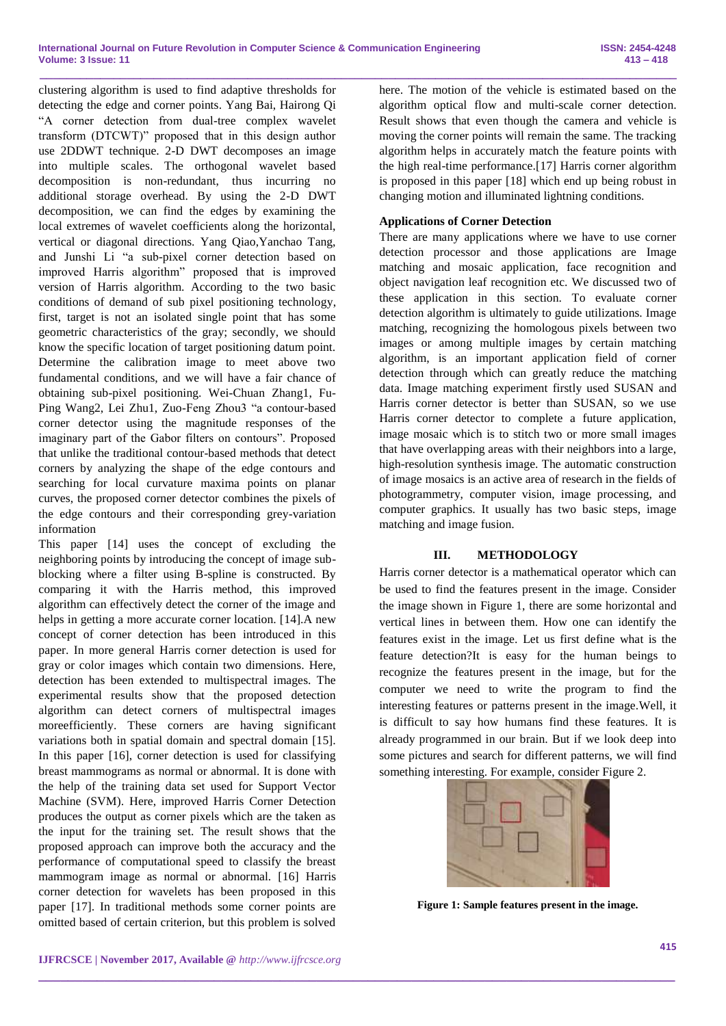clustering algorithm is used to find adaptive thresholds for detecting the edge and corner points. Yang Bai, Hairong Qi "A corner detection from dual-tree complex wavelet transform (DTCWT)" proposed that in this design author use 2DDWT technique. 2-D DWT decomposes an image into multiple scales. The orthogonal wavelet based decomposition is non-redundant, thus incurring no additional storage overhead. By using the 2-D DWT decomposition, we can find the edges by examining the local extremes of wavelet coefficients along the horizontal, vertical or diagonal directions. Yang Qiao,Yanchao Tang, and Junshi Li "a sub-pixel corner detection based on improved Harris algorithm" proposed that is improved version of Harris algorithm. According to the two basic conditions of demand of sub pixel positioning technology, first, target is not an isolated single point that has some geometric characteristics of the gray; secondly, we should know the specific location of target positioning datum point. Determine the calibration image to meet above two fundamental conditions, and we will have a fair chance of obtaining sub-pixel positioning. Wei-Chuan Zhang1, Fu-Ping Wang2, Lei Zhu1, Zuo-Feng Zhou3 "a contour-based corner detector using the magnitude responses of the imaginary part of the Gabor filters on contours". Proposed that unlike the traditional contour-based methods that detect corners by analyzing the shape of the edge contours and searching for local curvature maxima points on planar curves, the proposed corner detector combines the pixels of the edge contours and their corresponding grey-variation information

This paper [14] uses the concept of excluding the neighboring points by introducing the concept of image subblocking where a filter using B-spline is constructed. By comparing it with the Harris method, this improved algorithm can effectively detect the corner of the image and helps in getting a more accurate corner location. [14].A new concept of corner detection has been introduced in this paper. In more general Harris corner detection is used for gray or color images which contain two dimensions. Here, detection has been extended to multispectral images. The experimental results show that the proposed detection algorithm can detect corners of multispectral images moreefficiently. These corners are having significant variations both in spatial domain and spectral domain [15]. In this paper [16], corner detection is used for classifying breast mammograms as normal or abnormal. It is done with the help of the training data set used for Support Vector Machine (SVM). Here, improved Harris Corner Detection produces the output as corner pixels which are the taken as the input for the training set. The result shows that the proposed approach can improve both the accuracy and the performance of computational speed to classify the breast mammogram image as normal or abnormal. [16] Harris corner detection for wavelets has been proposed in this paper [17]. In traditional methods some corner points are omitted based of certain criterion, but this problem is solved

here. The motion of the vehicle is estimated based on the algorithm optical flow and multi-scale corner detection. Result shows that even though the camera and vehicle is moving the corner points will remain the same. The tracking algorithm helps in accurately match the feature points with the high real-time performance.[17] Harris corner algorithm is proposed in this paper [18] which end up being robust in changing motion and illuminated lightning conditions.

## **Applications of Corner Detection**

There are many applications where we have to use corner detection processor and those applications are Image matching and mosaic application, face recognition and object navigation leaf recognition etc. We discussed two of these application in this section. To evaluate corner detection algorithm is ultimately to guide utilizations. Image matching, recognizing the homologous pixels between two images or among multiple images by certain matching algorithm, is an important application field of corner detection through which can greatly reduce the matching data. Image matching experiment firstly used SUSAN and Harris corner detector is better than SUSAN, so we use Harris corner detector to complete a future application, image mosaic which is to stitch two or more small images that have overlapping areas with their neighbors into a large, high-resolution synthesis image. The automatic construction of image mosaics is an active area of research in the fields of photogrammetry, computer vision, image processing, and computer graphics. It usually has two basic steps, image matching and image fusion.

# **III. METHODOLOGY**

Harris corner detector is a mathematical operator which can be used to find the features present in the image. Consider the image shown in Figure 1, there are some horizontal and vertical lines in between them. How one can identify the features exist in the image. Let us first define what is the feature detection?It is easy for the human beings to recognize the features present in the image, but for the computer we need to write the program to find the interesting features or patterns present in the image.Well, it is difficult to say how humans find these features. It is already programmed in our brain. But if we look deep into some pictures and search for different patterns, we will find something interesting. For example, consider Figure 2.



**Figure 1: Sample features present in the image.**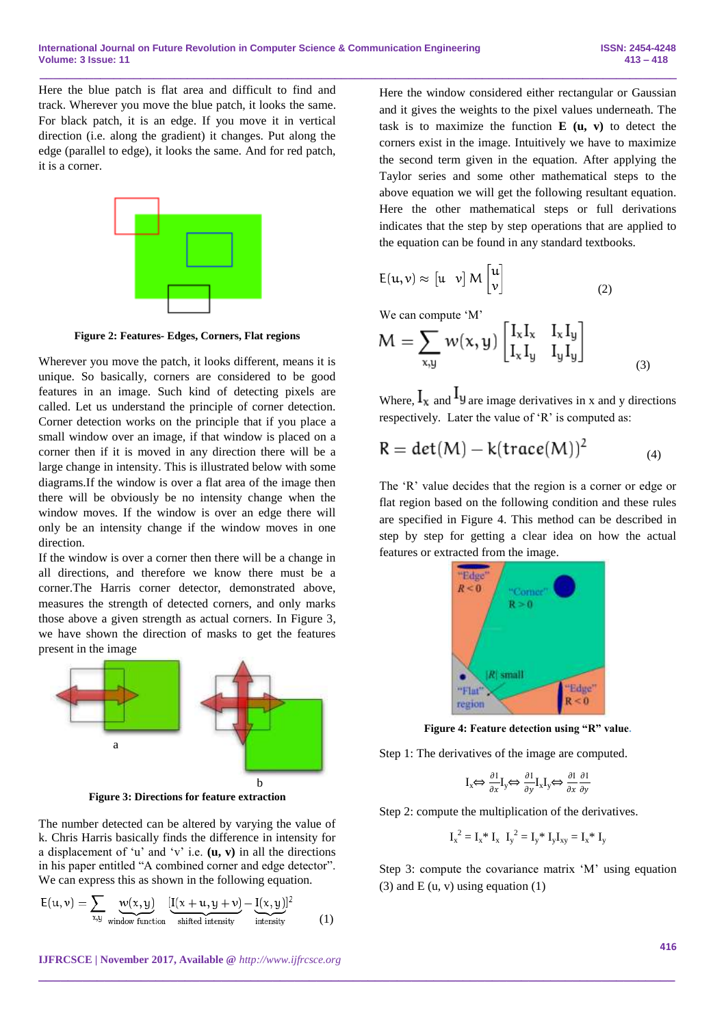Here the blue patch is flat area and difficult to find and track. Wherever you move the blue patch, it looks the same. For black patch, it is an edge. If you move it in vertical direction (i.e. along the gradient) it changes. Put along the edge (parallel to edge), it looks the same. And for red patch, it is a corner.



**Figure 2: Features- Edges, Corners, Flat regions**

Wherever you move the patch, it looks different, means it is unique. So basically, corners are considered to be good features in an image. Such kind of detecting pixels are called. Let us understand the principle of corner detection. Corner detection works on the principle that if you place a small window over an image, if that window is placed on a corner then if it is moved in any direction there will be a large change in intensity. This is illustrated below with some diagrams.If the window is over a flat area of the image then there will be obviously be no intensity change when the window moves. If the window is over an edge there will only be an intensity change if the window moves in one direction.

If the window is over a corner then there will be a change in all directions, and therefore we know there must be a corner.The Harris corner detector, demonstrated above, measures the strength of detected corners, and only marks those above a given strength as actual corners. In Figure 3, we have shown the direction of masks to get the features present in the image



**Figure 3: Directions for feature extraction**

The number detected can be altered by varying the value of k. Chris Harris basically finds the difference in intensity for a displacement of 'u' and 'v' i.e.  $(\mathbf{u}, \mathbf{v})$  in all the directions in his paper entitled "A combined corner and edge detector". We can express this as shown in the following equation.

$$
E(u,v)=\sum_{x,y}\underbrace{w(x,y)}_{window\ function}\underbrace{[I(x+u,y+v)}_{shifted\ intensity}-\underbrace{I(x,y)}_{intensity}]^2\qquad \qquad (1)
$$

Here the window considered either rectangular or Gaussian and it gives the weights to the pixel values underneath. The task is to maximize the function  $\mathbf{E}$  ( $\mathbf{u}$ ,  $\mathbf{v}$ ) to detect the corners exist in the image. Intuitively we have to maximize the second term given in the equation. After applying the Taylor series and some other mathematical steps to the above equation we will get the following resultant equation. Here the other mathematical steps or full derivations indicates that the step by step operations that are applied to the equation can be found in any standard textbooks.

$$
E(u, v) \approx [u \quad v] \quad M\begin{bmatrix} u \\ v \end{bmatrix} \tag{2}
$$

We can compute 'M'

$$
M = \sum_{x,y} w(x,y) \begin{bmatrix} I_x I_x & I_x I_y \\ I_x I_y & I_y I_y \end{bmatrix}
$$
 (3)

Where,  $I_x$  and  $I_y$  are image derivatives in x and y directions respectively. Later the value of 'R' is computed as:

$$
R = det(M) - k(\text{trace}(M))^2 \tag{4}
$$

The 'R' value decides that the region is a corner or edge or flat region based on the following condition and these rules are specified in Figure 4. This method can be described in step by step for getting a clear idea on how the actual features or extracted from the image.



**Figure 4: Feature detection using "R" value.**

Step 1: The derivatives of the image are computed.

$$
I_x \!\!\leftrightarrow\! \tfrac{\partial I}{\partial x} I_y \!\!\leftrightarrow\! \tfrac{\partial I}{\partial y} I_x I_y \!\!\leftrightarrow\! \tfrac{\partial I}{\partial x} \tfrac{\partial I}{\partial y}
$$

Step 2: compute the multiplication of the derivatives.

$$
{I_x}^2 = {I_x}^*\ I_x\ {I_y}^2 = {I_y}^*\ I_y {I_{xy}} = {I_x}^*\ I_y
$$

Step 3: compute the covariance matrix 'M' using equation (3) and  $E(u, v)$  using equation (1)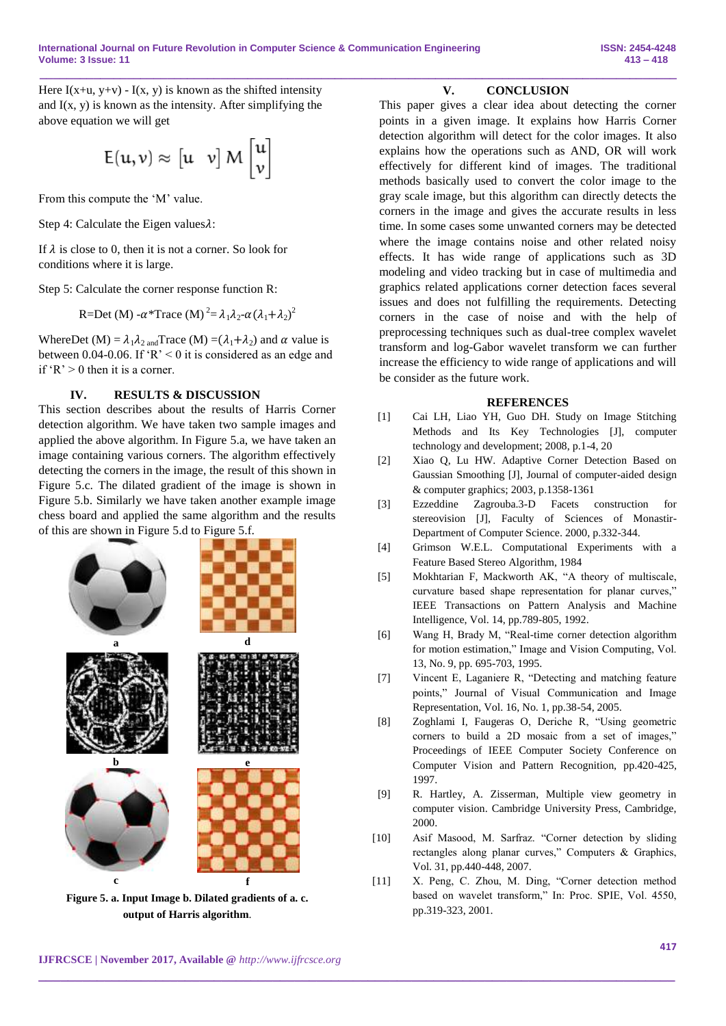Here  $I(x+u, y+v) - I(x, y)$  is known as the shifted intensity and  $I(x, y)$  is known as the intensity. After simplifying the above equation we will get

$$
E(u,v) \approx \begin{bmatrix} u & v \end{bmatrix} M \begin{bmatrix} u \\ v \end{bmatrix}
$$

From this compute the 'M' value.

Step 4: Calculate the Eigen values $\lambda$ :

If  $\lambda$  is close to 0, then it is not a corner. So look for conditions where it is large.

Step 5: Calculate the corner response function R:

R=Det (M)  $-\alpha^*$ Trace (M)  $^2 = \lambda_1 \lambda_2 - \alpha (\lambda_1 + \lambda_2)^2$ 

WhereDet (M) =  $\lambda_1 \lambda_2$  and Trace (M) =  $(\lambda_1 + \lambda_2)$  and  $\alpha$  value is between 0.04-0.06. If ' $R$ ' < 0 it is considered as an edge and if  $'R' > 0$  then it is a corner.

# **IV. RESULTS & DISCUSSION**

This section describes about the results of Harris Corner detection algorithm. We have taken two sample images and applied the above algorithm. In Figure 5.a, we have taken an image containing various corners. The algorithm effectively detecting the corners in the image, the result of this shown in Figure 5.c. The dilated gradient of the image is shown in Figure 5.b. Similarly we have taken another example image chess board and applied the same algorithm and the results of this are shown in Figure 5.d to Figure 5.f.



**Figure 5. a. Input Image b. Dilated gradients of a. c. output of Harris algorithm**.

## **V. CONCLUSION**

This paper gives a clear idea about detecting the corner points in a given image. It explains how Harris Corner detection algorithm will detect for the color images. It also explains how the operations such as AND, OR will work effectively for different kind of images. The traditional methods basically used to convert the color image to the gray scale image, but this algorithm can directly detects the corners in the image and gives the accurate results in less time. In some cases some unwanted corners may be detected where the image contains noise and other related noisy effects. It has wide range of applications such as 3D modeling and video tracking but in case of multimedia and graphics related applications corner detection faces several issues and does not fulfilling the requirements. Detecting corners in the case of noise and with the help of preprocessing techniques such as dual-tree complex wavelet transform and log-Gabor wavelet transform we can further increase the efficiency to wide range of applications and will be consider as the future work.

#### **REFERENCES**

- [1] Cai LH, Liao YH, Guo DH. Study on Image Stitching Methods and Its Key Technologies [J], computer technology and development; 2008, p.1-4, 20
- [2] Xiao Q, Lu HW. Adaptive Corner Detection Based on Gaussian Smoothing [J], Journal of computer-aided design & computer graphics; 2003, p.1358-1361
- [3] Ezzeddine Zagrouba.3-D Facets construction for stereovision [J], Faculty of Sciences of Monastir-Department of Computer Science. 2000, p.332-344.
- [4] Grimson W.E.L. Computational Experiments with a Feature Based Stereo Algorithm, 1984
- [5] Mokhtarian F, Mackworth AK, "A theory of multiscale, curvature based shape representation for planar curves," IEEE Transactions on Pattern Analysis and Machine Intelligence, Vol. 14, pp.789-805, 1992.
- [6] Wang H, Brady M, "Real-time corner detection algorithm for motion estimation," Image and Vision Computing, Vol. 13, No. 9, pp. 695-703, 1995.
- [7] Vincent E, Laganiere R, "Detecting and matching feature points," Journal of Visual Communication and Image Representation, Vol. 16, No. 1, pp.38-54, 2005.
- [8] Zoghlami I, Faugeras O, Deriche R, "Using geometric corners to build a 2D mosaic from a set of images," Proceedings of IEEE Computer Society Conference on Computer Vision and Pattern Recognition, pp.420-425, 1997.
- [9] R. Hartley, A. Zisserman, Multiple view geometry in computer vision. Cambridge University Press, Cambridge, 2000.
- [10] Asif Masood, M. Sarfraz. "Corner detection by sliding rectangles along planar curves," Computers & Graphics, Vol. 31, pp.440-448, 2007.
- [11] X. Peng, C. Zhou, M. Ding, "Corner detection method based on wavelet transform," In: Proc. SPIE, Vol. 4550, pp.319-323, 2001.